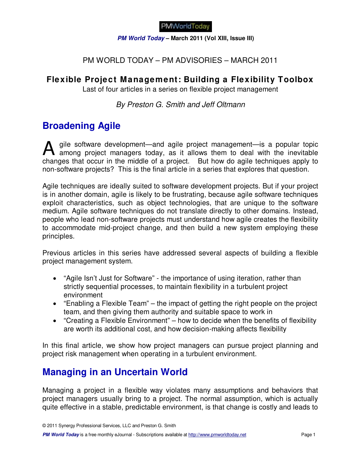**PM World Today – March 2011 (Vol XIII, Issue III)** 

### PM WORLD TODAY – PM ADVISORIES – MARCH 2011

### **Flexible Project Management: Building a Flexibility Toolbox**

Last of four articles in a series on flexible project management

By Preston G. Smith and Jeff Oltmann

## **Broadening Agile**

gile software development—and agile project management—is a popular topic A gile software development—and agile project management—is a popular topic<br>among project managers today, as it allows them to deal with the inevitable changes that occur in the middle of a project. But how do agile techniques apply to non-software projects? This is the final article in a series that explores that question.

Agile techniques are ideally suited to software development projects. But if your project is in another domain, agile is likely to be frustrating, because agile software techniques exploit characteristics, such as object technologies, that are unique to the software medium. Agile software techniques do not translate directly to other domains. Instead, people who lead non-software projects must understand how agile creates the flexibility to accommodate mid-project change, and then build a new system employing these principles.

Previous articles in this series have addressed several aspects of building a flexible project management system.

- "Agile Isn't Just for Software" the importance of using iteration, rather than strictly sequential processes, to maintain flexibility in a turbulent project environment
- "Enabling a Flexible Team" the impact of getting the right people on the project team, and then giving them authority and suitable space to work in
- "Creating a Flexible Environment" how to decide when the benefits of flexibility are worth its additional cost, and how decision-making affects flexibility

In this final article, we show how project managers can pursue project planning and project risk management when operating in a turbulent environment.

# **Managing in an Uncertain World**

Managing a project in a flexible way violates many assumptions and behaviors that project managers usually bring to a project. The normal assumption, which is actually quite effective in a stable, predictable environment, is that change is costly and leads to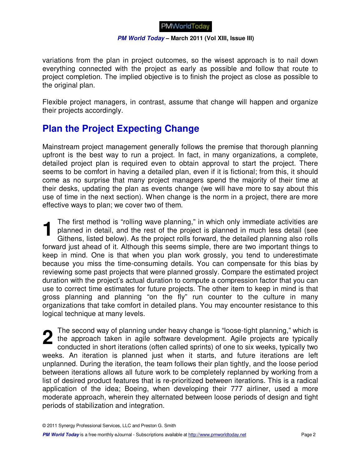#### **PM World Today – March 2011 (Vol XIII, Issue III)**

variations from the plan in project outcomes, so the wisest approach is to nail down everything connected with the project as early as possible and follow that route to project completion. The implied objective is to finish the project as close as possible to the original plan.

Flexible project managers, in contrast, assume that change will happen and organize their projects accordingly.

## **Plan the Project Expecting Change**

Mainstream project management generally follows the premise that thorough planning upfront is the best way to run a project. In fact, in many organizations, a complete, detailed project plan is required even to obtain approval to start the project. There seems to be comfort in having a detailed plan, even if it is fictional; from this, it should come as no surprise that many project managers spend the majority of their time at their desks, updating the plan as events change (we will have more to say about this use of time in the next section). When change is the norm in a project, there are more effective ways to plan; we cover two of them.

The first method is "rolling wave planning," in which only immediate activities are planned in detail, and the rest of the project is planned in much less detail (see Githens, listed below). As the project rolls forward, the detailed planning also rolls forward just ahead of it. Although this seems simple, there are two important things to keep in mind. One is that when you plan work grossly, you tend to underestimate because you miss the time-consuming details. You can compensate for this bias by reviewing some past projects that were planned grossly. Compare the estimated project duration with the project's actual duration to compute a compression factor that you can use to correct time estimates for future projects. The other item to keep in mind is that gross planning and planning "on the fly" run counter to the culture in many organizations that take comfort in detailed plans. You may encounter resistance to this logical technique at many levels. **1**

The second way of planning under heavy change is "loose-tight planning," which is the approach taken in agile software development. Agile projects are typically conducted in short iterations (often called sprints) of one to six weeks, typically two weeks. An iteration is planned just when it starts, and future iterations are left unplanned. During the iteration, the team follows their plan tightly, and the loose period between iterations allows all future work to be completely replanned by working from a list of desired product features that is re-prioritized between iterations. This is a radical application of the idea; Boeing, when developing their 777 airliner, used a more moderate approach, wherein they alternated between loose periods of design and tight periods of stabilization and integration. **2**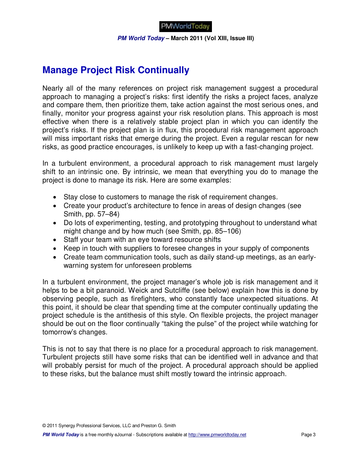

**PM World Today – March 2011 (Vol XIII, Issue III)** 

## **Manage Project Risk Continually**

Nearly all of the many references on project risk management suggest a procedural approach to managing a project's risks: first identify the risks a project faces, analyze and compare them, then prioritize them, take action against the most serious ones, and finally, monitor your progress against your risk resolution plans. This approach is most effective when there is a relatively stable project plan in which you can identify the project's risks. If the project plan is in flux, this procedural risk management approach will miss important risks that emerge during the project. Even a regular rescan for new risks, as good practice encourages, is unlikely to keep up with a fast-changing project.

In a turbulent environment, a procedural approach to risk management must largely shift to an intrinsic one. By intrinsic, we mean that everything you do to manage the project is done to manage its risk. Here are some examples:

- Stay close to customers to manage the risk of requirement changes.
- Create your product's architecture to fence in areas of design changes (see Smith, pp. 57–84)
- Do lots of experimenting, testing, and prototyping throughout to understand what might change and by how much (see Smith, pp. 85–106)
- Staff your team with an eye toward resource shifts
- Keep in touch with suppliers to foresee changes in your supply of components
- Create team communication tools, such as daily stand-up meetings, as an earlywarning system for unforeseen problems

In a turbulent environment, the project manager's whole job is risk management and it helps to be a bit paranoid. Weick and Sutcliffe (see below) explain how this is done by observing people, such as firefighters, who constantly face unexpected situations. At this point, it should be clear that spending time at the computer continually updating the project schedule is the antithesis of this style. On flexible projects, the project manager should be out on the floor continually "taking the pulse" of the project while watching for tomorrow's changes.

This is not to say that there is no place for a procedural approach to risk management. Turbulent projects still have some risks that can be identified well in advance and that will probably persist for much of the project. A procedural approach should be applied to these risks, but the balance must shift mostly toward the intrinsic approach.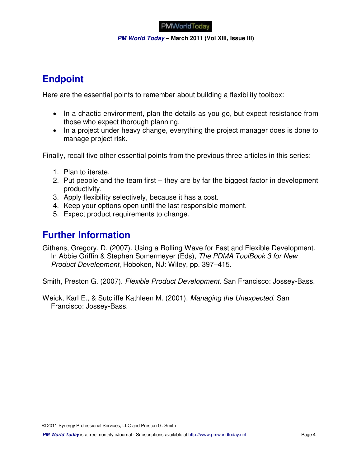**PM World Today – March 2011 (Vol XIII, Issue III)** 

# **Endpoint**

Here are the essential points to remember about building a flexibility toolbox:

- In a chaotic environment, plan the details as you go, but expect resistance from those who expect thorough planning.
- In a project under heavy change, everything the project manager does is done to manage project risk.

Finally, recall five other essential points from the previous three articles in this series:

- 1. Plan to iterate.
- 2. Put people and the team first they are by far the biggest factor in development productivity.
- 3. Apply flexibility selectively, because it has a cost.
- 4. Keep your options open until the last responsible moment.
- 5. Expect product requirements to change.

### **Further Information**

Githens, Gregory. D. (2007). Using a Rolling Wave for Fast and Flexible Development. In Abbie Griffin & Stephen Somermeyer (Eds), The PDMA ToolBook 3 for New Product Development, Hoboken, NJ: Wiley, pp. 397–415.

Smith, Preston G. (2007). Flexible Product Development. San Francisco: Jossey-Bass.

Weick, Karl E., & Sutcliffe Kathleen M. (2001). Managing the Unexpected. San Francisco: Jossey-Bass.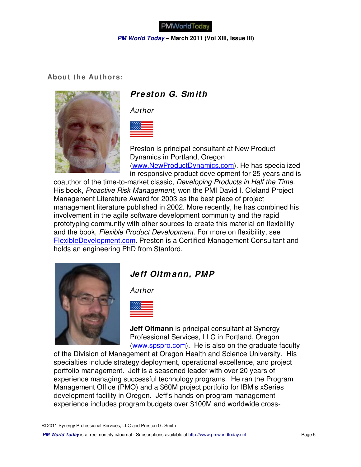

**PM World Today – March 2011 (Vol XIII, Issue III)** 

#### **About the Authors:**



### **Preston G. Sm ith**

Author



Preston is principal consultant at New Product Dynamics in Portland, Oregon (www.NewProductDynamics.com). He has specialized in responsive product development for 25 years and is

coauthor of the time-to-market classic, Developing Products in Half the Time. His book, Proactive Risk Management, won the PMI David I. Cleland Project Management Literature Award for 2003 as the best piece of project management literature published in 2002. More recently, he has combined his involvement in the agile software development community and the rapid prototyping community with other sources to create this material on flexibility and the book, Flexible Product Development. For more on flexibility, see FlexibleDevelopment.com. Preston is a Certified Management Consultant and holds an engineering PhD from Stanford.



### **Jeff Oltm ann, PMP**

Author



**Jeff Oltmann** is principal consultant at Synergy Professional Services, LLC in Portland, Oregon (www.spspro.com). He is also on the graduate faculty

of the Division of Management at Oregon Health and Science University. His specialties include strategy deployment, operational excellence, and project portfolio management. Jeff is a seasoned leader with over 20 years of experience managing successful technology programs. He ran the Program Management Office (PMO) and a \$60M project portfolio for IBM's xSeries development facility in Oregon. Jeff's hands-on program management experience includes program budgets over \$100M and worldwide cross-